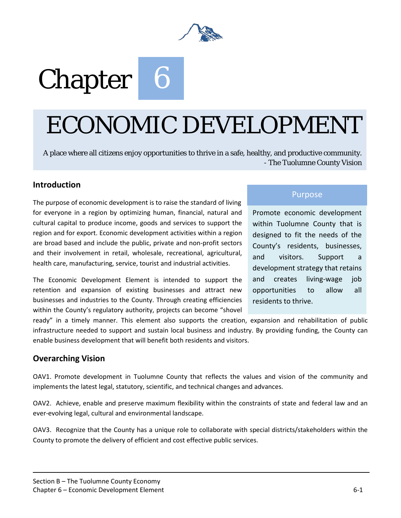

# Chapter 6

# ECONOMIC DEVELOPMENT

A place where all citizens enjoy opportunities to thrive in a safe, healthy, and productive community. - The Tuolumne County Vision

## **Introduction**

The purpose of economic development is to raise the standard of living for everyone in a region by optimizing human, financial, natural and cultural capital to produce income, goods and services to support the region and for export. Economic development activities within a region are broad based and include the public, private and non-profit sectors and their involvement in retail, wholesale, recreational, agricultural, health care, manufacturing, service, tourist and industrial activities.

The Economic Development Element is intended to support the retention and expansion of existing businesses and attract new businesses and industries to the County. Through creating efficiencies within the County's regulatory authority, projects can become "shovel

## Purpose

Promote economic development within Tuolumne County that is designed to fit the needs of the County's residents, businesses, and visitors. Support a development strategy that retains and creates living-wage job opportunities to allow all residents to thrive.

ready" in a timely manner. This element also supports the creation, expansion and rehabilitation of public infrastructure needed to support and sustain local business and industry. By providing funding, the County can enable business development that will benefit both residents and visitors.

## **Overarching Vision**

OAV1. Promote development in Tuolumne County that reflects the values and vision of the community and implements the latest legal, statutory, scientific, and technical changes and advances.

OAV2. Achieve, enable and preserve maximum flexibility within the constraints of state and federal law and an ever-evolving legal, cultural and environmental landscape.

OAV3. Recognize that the County has a unique role to collaborate with special districts/stakeholders within the County to promote the delivery of efficient and cost effective public services.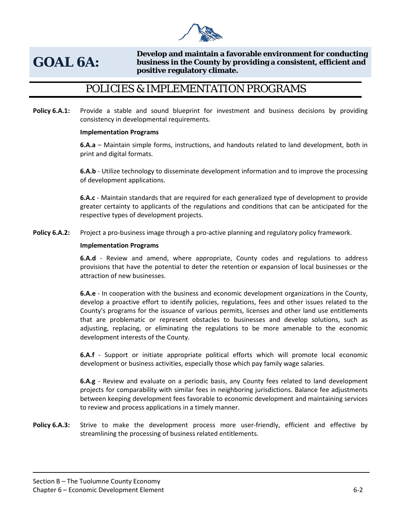

# **GOAL 6A:**

**Develop and maintain a favorable environment for conducting business in the County by providing a consistent, efficient and positive regulatory climate.**

## POLICIES & IMPLEMENTATION PROGRAMS

**Policy 6.A.1:** Provide a stable and sound blueprint for investment and business decisions by providing consistency in developmental requirements.

## **Implementation Programs**

**6.A.a** – Maintain simple forms, instructions, and handouts related to land development, both in print and digital formats.

**6.A.b** - Utilize technology to disseminate development information and to improve the processing of development applications.

**6.A.c** - Maintain standards that are required for each generalized type of development to provide greater certainty to applicants of the regulations and conditions that can be anticipated for the respective types of development projects.

**Policy 6.A.2:** Project a pro-business image through a pro-active planning and regulatory policy framework.

## **Implementation Programs**

**6.A.d** - Review and amend, where appropriate, County codes and regulations to address provisions that have the potential to deter the retention or expansion of local businesses or the attraction of new businesses.

**6.A.e** - In cooperation with the business and economic development organizations in the County, develop a proactive effort to identify policies, regulations, fees and other issues related to the County's programs for the issuance of various permits, licenses and other land use entitlements that are problematic or represent obstacles to businesses and develop solutions, such as adjusting, replacing, or eliminating the regulations to be more amenable to the economic development interests of the County.

**6.A.f** - Support or initiate appropriate political efforts which will promote local economic development or business activities, especially those which pay family wage salaries.

**6.A.g** - Review and evaluate on a periodic basis, any County fees related to land development projects for comparability with similar fees in neighboring jurisdictions. Balance fee adjustments between keeping development fees favorable to economic development and maintaining services to review and process applications in a timely manner.

Policy 6.A.3: Strive to make the development process more user-friendly, efficient and effective by streamlining the processing of business related entitlements.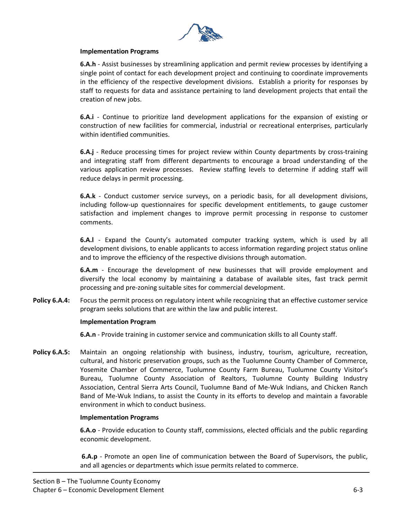

## **Implementation Programs**

**6.A.h** - Assist businesses by streamlining application and permit review processes by identifying a single point of contact for each development project and continuing to coordinate improvements in the efficiency of the respective development divisions. Establish a priority for responses by staff to requests for data and assistance pertaining to land development projects that entail the creation of new jobs.

**6.A.i** - Continue to prioritize land development applications for the expansion of existing or construction of new facilities for commercial, industrial or recreational enterprises, particularly within identified communities.

**6.A.j** - Reduce processing times for project review within County departments by cross-training and integrating staff from different departments to encourage a broad understanding of the various application review processes. Review staffing levels to determine if adding staff will reduce delays in permit processing.

**6.A.k** - Conduct customer service surveys, on a periodic basis, for all development divisions, including follow-up questionnaires for specific development entitlements, to gauge customer satisfaction and implement changes to improve permit processing in response to customer comments.

**6.A.l** - Expand the County's automated computer tracking system, which is used by all development divisions, to enable applicants to access information regarding project status online and to improve the efficiency of the respective divisions through automation.

**6.A.m** - Encourage the development of new businesses that will provide employment and diversify the local economy by maintaining a database of available sites, fast track permit processing and pre-zoning suitable sites for commercial development.

**Policy 6.A.4:** Focus the permit process on regulatory intent while recognizing that an effective customer service program seeks solutions that are within the law and public interest.

#### **Implementation Program**

**6.A.n** - Provide training in customer service and communication skills to all County staff.

Policy 6.A.5: Maintain an ongoing relationship with business, industry, tourism, agriculture, recreation, cultural, and historic preservation groups, such as the Tuolumne County Chamber of Commerce, Yosemite Chamber of Commerce, Tuolumne County Farm Bureau, Tuolumne County Visitor's Bureau, Tuolumne County Association of Realtors, Tuolumne County Building Industry Association, Central Sierra Arts Council, Tuolumne Band of Me-Wuk Indians, and Chicken Ranch Band of Me-Wuk Indians, to assist the County in its efforts to develop and maintain a favorable environment in which to conduct business.

## **Implementation Programs**

**6.A.o** - Provide education to County staff, commissions, elected officials and the public regarding economic development.

**6.A.p** - Promote an open line of communication between the Board of Supervisors, the public, and all agencies or departments which issue permits related to commerce.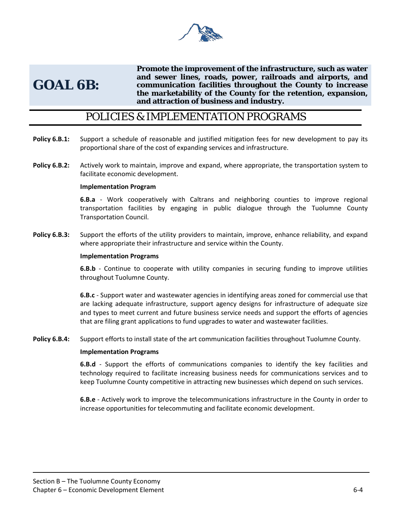

## **GOAL 6B:**

**Promote the improvement of the infrastructure, such as water and sewer lines, roads, power, railroads and airports, and communication facilities throughout the County to increase the marketability of the County for the retention, expansion, and attraction of business and industry.** 

## POLICIES & IMPLEMENTATION PROGRAMS

- **Policy 6.B.1:** Support a schedule of reasonable and justified mitigation fees for new development to pay its proportional share of the cost of expanding services and infrastructure.
- **Policy 6.B.2:** Actively work to maintain, improve and expand, where appropriate, the transportation system to facilitate economic development.

## **Implementation Program**

**6.B.a** - Work cooperatively with Caltrans and neighboring counties to improve regional transportation facilities by engaging in public dialogue through the Tuolumne County Transportation Council.

**Policy 6.B.3:** Support the efforts of the utility providers to maintain, improve, enhance reliability, and expand where appropriate their infrastructure and service within the County.

#### **Implementation Programs**

**6.B.b** - Continue to cooperate with utility companies in securing funding to improve utilities throughout Tuolumne County.

**6.B.c** - Support water and wastewater agencies in identifying areas zoned for commercial use that are lacking adequate infrastructure, support agency designs for infrastructure of adequate size and types to meet current and future business service needs and support the efforts of agencies that are filing grant applications to fund upgrades to water and wastewater facilities.

**Policy 6.B.4:** Support efforts to install state of the art communication facilities throughout Tuolumne County.

#### **Implementation Programs**

**6.B.d** - Support the efforts of communications companies to identify the key facilities and technology required to facilitate increasing business needs for communications services and to keep Tuolumne County competitive in attracting new businesses which depend on such services.

**6.B.e** - Actively work to improve the telecommunications infrastructure in the County in order to increase opportunities for telecommuting and facilitate economic development.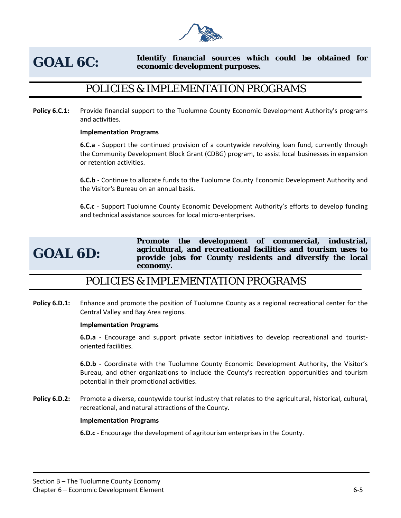

## **GOAL 6C: Identify financial sources which could be obtained for economic development purposes.**

## POLICIES & IMPLEMENTATION PROGRAMS

**Policy 6.C.1:** Provide financial support to the Tuolumne County Economic Development Authority's programs and activities.

## **Implementation Programs**

**6.C.a** - Support the continued provision of a countywide revolving loan fund, currently through the Community Development Block Grant (CDBG) program, to assist local businesses in expansion or retention activities.

**6.C.b** - Continue to allocate funds to the Tuolumne County Economic Development Authority and the Visitor's Bureau on an annual basis.

**6.C.c** - Support Tuolumne County Economic Development Authority's efforts to develop funding and technical assistance sources for local micro-enterprises.

## **GOAL 6D:**

**Promote the development of commercial, industrial, agricultural, and recreational facilities and tourism uses to provide jobs for County residents and diversify the local economy.** 

## POLICIES & IMPLEMENTATION PROGRAMS

**Policy 6.D.1:** Enhance and promote the position of Tuolumne County as a regional recreational center for the Central Valley and Bay Area regions.

#### **Implementation Programs**

**6.D.a** - Encourage and support private sector initiatives to develop recreational and touristoriented facilities.

**6.D.b** - Coordinate with the Tuolumne County Economic Development Authority, the Visitor's Bureau, and other organizations to include the County's recreation opportunities and tourism potential in their promotional activities.

Policy 6.D.2: Promote a diverse, countywide tourist industry that relates to the agricultural, historical, cultural, recreational, and natural attractions of the County.

#### **Implementation Programs**

**6.D.c** - Encourage the development of agritourism enterprises in the County.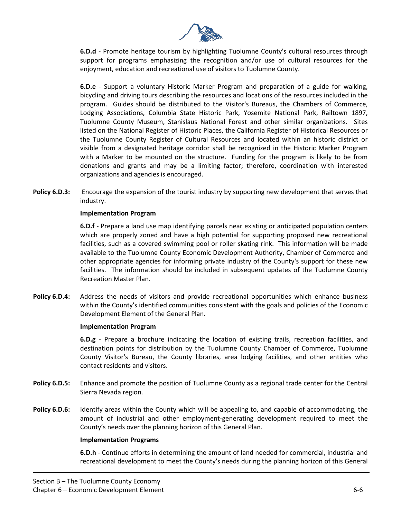

**6.D.d** - Promote heritage tourism by highlighting Tuolumne County's cultural resources through support for programs emphasizing the recognition and/or use of cultural resources for the enjoyment, education and recreational use of visitors to Tuolumne County.

**6.D.e** - Support a voluntary Historic Marker Program and preparation of a guide for walking, bicycling and driving tours describing the resources and locations of the resources included in the program. Guides should be distributed to the Visitor's Bureaus, the Chambers of Commerce, Lodging Associations, Columbia State Historic Park, Yosemite National Park, Railtown 1897, Tuolumne County Museum, Stanislaus National Forest and other similar organizations. Sites listed on the National Register of Historic Places, the California Register of Historical Resources or the Tuolumne County Register of Cultural Resources and located within an historic district or visible from a designated heritage corridor shall be recognized in the Historic Marker Program with a Marker to be mounted on the structure. Funding for the program is likely to be from donations and grants and may be a limiting factor; therefore, coordination with interested organizations and agencies is encouraged.

**Policy 6.D.3:** Encourage the expansion of the tourist industry by supporting new development that serves that industry.

## **Implementation Program**

**6.D.f** - Prepare a land use map identifying parcels near existing or anticipated population centers which are properly zoned and have a high potential for supporting proposed new recreational facilities, such as a covered swimming pool or roller skating rink. This information will be made available to the Tuolumne County Economic Development Authority, Chamber of Commerce and other appropriate agencies for informing private industry of the County's support for these new facilities. The information should be included in subsequent updates of the Tuolumne County Recreation Master Plan.

**Policy 6.D.4:** Address the needs of visitors and provide recreational opportunities which enhance business within the County's identified communities consistent with the goals and policies of the Economic Development Element of the General Plan.

#### **Implementation Program**

**6.D.g** - Prepare a brochure indicating the location of existing trails, recreation facilities, and destination points for distribution by the Tuolumne County Chamber of Commerce, Tuolumne County Visitor's Bureau, the County libraries, area lodging facilities, and other entities who contact residents and visitors.

- **Policy 6.D.5:** Enhance and promote the position of Tuolumne County as a regional trade center for the Central Sierra Nevada region.
- **Policy 6.D.6:** Identify areas within the County which will be appealing to, and capable of accommodating, the amount of industrial and other employment-generating development required to meet the County's needs over the planning horizon of this General Plan.

#### **Implementation Programs**

**6.D.h** - Continue efforts in determining the amount of land needed for commercial, industrial and recreational development to meet the County's needs during the planning horizon of this General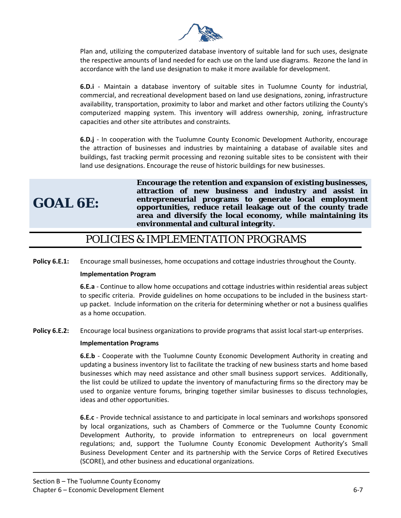

Plan and, utilizing the computerized database inventory of suitable land for such uses, designate the respective amounts of land needed for each use on the land use diagrams. Rezone the land in accordance with the land use designation to make it more available for development.

**6.D.i** - Maintain a database inventory of suitable sites in Tuolumne County for industrial, commercial, and recreational development based on land use designations, zoning, infrastructure availability, transportation, proximity to labor and market and other factors utilizing the County's computerized mapping system. This inventory will address ownership, zoning, infrastructure capacities and other site attributes and constraints.

**6.D.j** - In cooperation with the Tuolumne County Economic Development Authority, encourage the attraction of businesses and industries by maintaining a database of available sites and buildings, fast tracking permit processing and rezoning suitable sites to be consistent with their land use designations. Encourage the reuse of historic buildings for new businesses.

# **GOAL 6E:**

**Encourage the retention and expansion of existing businesses, attraction of new business and industry and assist in entrepreneurial programs to generate local employment opportunities, reduce retail leakage out of the county trade area and diversify the local economy, while maintaining its environmental and cultural integrity.** 

## POLICIES & IMPLEMENTATION PROGRAMS

**Policy 6.E.1:** Encourage small businesses, home occupations and cottage industries throughout the County.

## **Implementation Program**

**6.E.a** - Continue to allow home occupations and cottage industries within residential areas subject to specific criteria. Provide guidelines on home occupations to be included in the business startup packet. Include information on the criteria for determining whether or not a business qualifies as a home occupation.

**Policy 6.E.2:** Encourage local business organizations to provide programs that assist local start-up enterprises.

## **Implementation Programs**

**6.E.b** - Cooperate with the Tuolumne County Economic Development Authority in creating and updating a business inventory list to facilitate the tracking of new business starts and home based businesses which may need assistance and other small business support services. Additionally, the list could be utilized to update the inventory of manufacturing firms so the directory may be used to organize venture forums, bringing together similar businesses to discuss technologies, ideas and other opportunities.

**6.E.c** - Provide technical assistance to and participate in local seminars and workshops sponsored by local organizations, such as Chambers of Commerce or the Tuolumne County Economic Development Authority, to provide information to entrepreneurs on local government regulations; and, support the Tuolumne County Economic Development Authority's Small Business Development Center and its partnership with the Service Corps of Retired Executives (SCORE), and other business and educational organizations.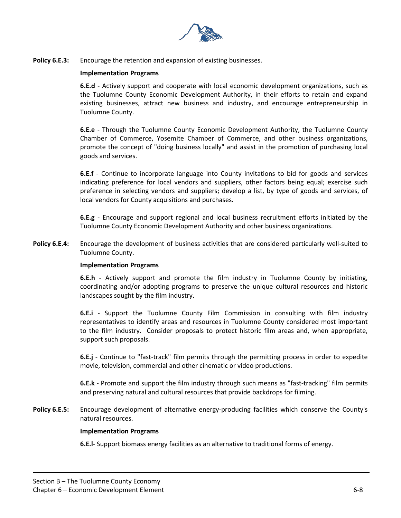

**Policy 6.E.3:** Encourage the retention and expansion of existing businesses.

## **Implementation Programs**

**6.E.d** - Actively support and cooperate with local economic development organizations, such as the Tuolumne County Economic Development Authority, in their efforts to retain and expand existing businesses, attract new business and industry, and encourage entrepreneurship in Tuolumne County.

**6.E.e** - Through the Tuolumne County Economic Development Authority, the Tuolumne County Chamber of Commerce, Yosemite Chamber of Commerce, and other business organizations, promote the concept of "doing business locally" and assist in the promotion of purchasing local goods and services.

**6.E.f** - Continue to incorporate language into County invitations to bid for goods and services indicating preference for local vendors and suppliers, other factors being equal; exercise such preference in selecting vendors and suppliers; develop a list, by type of goods and services, of local vendors for County acquisitions and purchases.

**6.E.g** - Encourage and support regional and local business recruitment efforts initiated by the Tuolumne County Economic Development Authority and other business organizations.

**Policy 6.E.4:** Encourage the development of business activities that are considered particularly well-suited to Tuolumne County.

#### **Implementation Programs**

**6.E.h** - Actively support and promote the film industry in Tuolumne County by initiating, coordinating and/or adopting programs to preserve the unique cultural resources and historic landscapes sought by the film industry.

**6.E.i** - Support the Tuolumne County Film Commission in consulting with film industry representatives to identify areas and resources in Tuolumne County considered most important to the film industry. Consider proposals to protect historic film areas and, when appropriate, support such proposals.

**6.E.j** - Continue to "fast-track" film permits through the permitting process in order to expedite movie, television, commercial and other cinematic or video productions.

**6.E.k** - Promote and support the film industry through such means as "fast-tracking" film permits and preserving natural and cultural resources that provide backdrops for filming.

**Policy 6.E.5:** Encourage development of alternative energy-producing facilities which conserve the County's natural resources.

## **Implementation Programs**

**6.E.l**- Support biomass energy facilities as an alternative to traditional forms of energy.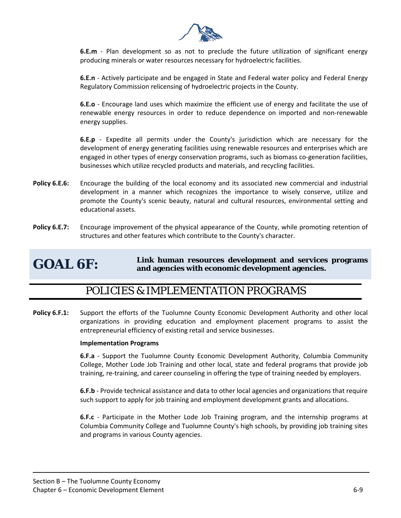

**6.E.m** - Plan development so as not to preclude the future utilization of significant energy producing minerals or water resources necessary for hydroelectric facilities.

**6.E.n** - Actively participate and be engaged in State and Federal water policy and Federal Energy Regulatory Commission relicensing of hydroelectric projects in the County.

**6.E.o** - Encourage land uses which maximize the efficient use of energy and facilitate the use of renewable energy resources in order to reduce dependence on imported and non-renewable energy supplies.

**6.E.p** - Expedite all permits under the County's jurisdiction which are necessary for the development of energy generating facilities using renewable resources and enterprises which are engaged in other types of energy conservation programs, such as biomass co-generation facilities, businesses which utilize recycled products and materials, and recycling facilities.

- **Policy 6.E.6:** Encourage the building of the local economy and its associated new commercial and industrial development in a manner which recognizes the importance to wisely conserve, utilize and promote the County's scenic beauty, natural and cultural resources, environmental setting and educational assets.
- **Policy 6.E.7:** Encourage improvement of the physical appearance of the County, while promoting retention of structures and other features which contribute to the County's character.

## **GOAL 6F: Link human resources development and services programs and agencies with economic development agencies.**

## POLICIES & IMPLEMENTATION PROGRAMS

**Policy 6.F.1:** Support the efforts of the Tuolumne County Economic Development Authority and other local organizations in providing education and employment placement programs to assist the entrepreneurial efficiency of existing retail and service businesses.

## **Implementation Programs**

**6.F.a** - Support the Tuolumne County Economic Development Authority, Columbia Community College, Mother Lode Job Training and other local, state and federal programs that provide job training, re-training, and career counseling in offering the type of training needed by employers.

**6.F.b** - Provide technical assistance and data to other local agencies and organizations that require such support to apply for job training and employment development grants and allocations.

**6.F.c** - Participate in the Mother Lode Job Training program, and the internship programs at Columbia Community College and Tuolumne County's high schools, by providing job training sites and programs in various County agencies.